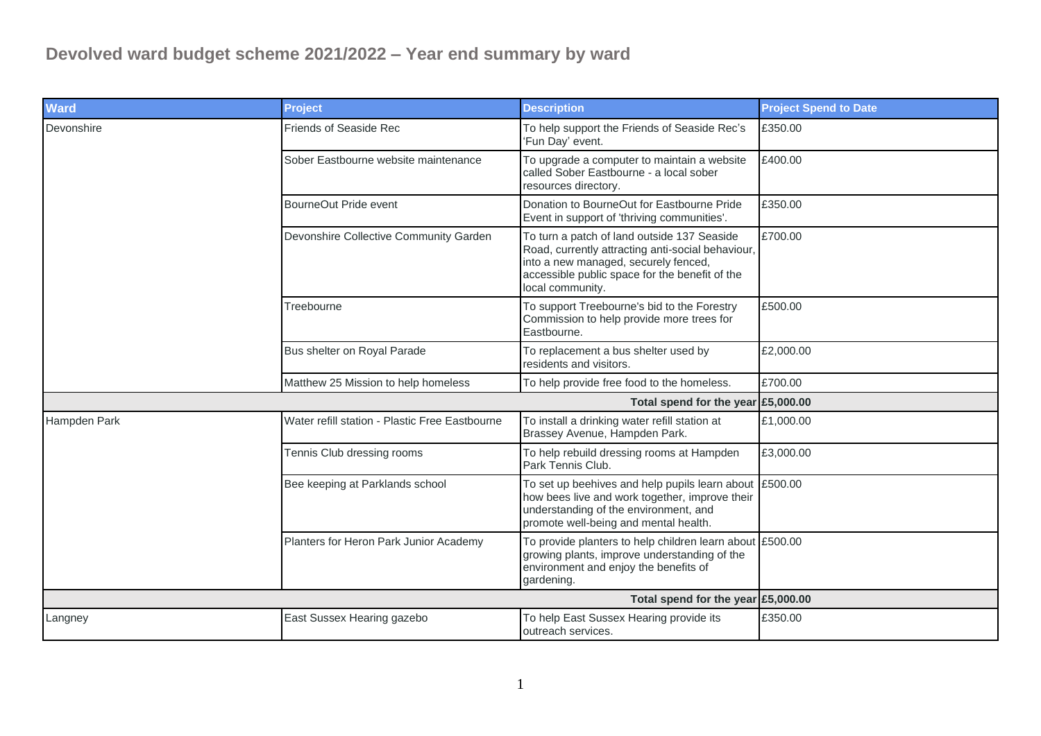| <b>Project</b>                                 | <b>Description</b>                                                                                                                                                                                             | <b>Project Spend to Date</b> |
|------------------------------------------------|----------------------------------------------------------------------------------------------------------------------------------------------------------------------------------------------------------------|------------------------------|
| <b>Friends of Seaside Rec</b>                  | To help support the Friends of Seaside Rec's<br>'Fun Day' event.                                                                                                                                               | £350.00                      |
| Sober Eastbourne website maintenance           | To upgrade a computer to maintain a website<br>called Sober Eastbourne - a local sober<br>resources directory.                                                                                                 | £400.00                      |
| BourneOut Pride event                          | Donation to BourneOut for Eastbourne Pride<br>Event in support of 'thriving communities'.                                                                                                                      | £350.00                      |
| Devonshire Collective Community Garden         | To turn a patch of land outside 137 Seaside<br>Road, currently attracting anti-social behaviour,<br>into a new managed, securely fenced,<br>accessible public space for the benefit of the<br>local community. | £700.00                      |
| Treebourne                                     | To support Treebourne's bid to the Forestry<br>Commission to help provide more trees for<br>Eastbourne.                                                                                                        | £500.00                      |
| Bus shelter on Royal Parade                    | To replacement a bus shelter used by<br>residents and visitors.                                                                                                                                                | £2,000.00                    |
| Matthew 25 Mission to help homeless            | To help provide free food to the homeless.                                                                                                                                                                     | £700.00                      |
|                                                | Total spend for the year £5,000.00                                                                                                                                                                             |                              |
| Water refill station - Plastic Free Eastbourne | To install a drinking water refill station at<br>Brassey Avenue, Hampden Park.                                                                                                                                 | £1,000.00                    |
| Tennis Club dressing rooms                     | To help rebuild dressing rooms at Hampden<br>Park Tennis Club.                                                                                                                                                 | £3,000.00                    |
| Bee keeping at Parklands school                | To set up beehives and help pupils learn about £500.00<br>how bees live and work together, improve their<br>understanding of the environment, and<br>promote well-being and mental health.                     |                              |
| Planters for Heron Park Junior Academy         | To provide planters to help children learn about £500.00<br>growing plants, improve understanding of the<br>environment and enjoy the benefits of<br>gardening.                                                |                              |
|                                                | Total spend for the year £5,000.00                                                                                                                                                                             |                              |
| East Sussex Hearing gazebo                     | To help East Sussex Hearing provide its<br>outreach services.                                                                                                                                                  | £350.00                      |
|                                                |                                                                                                                                                                                                                |                              |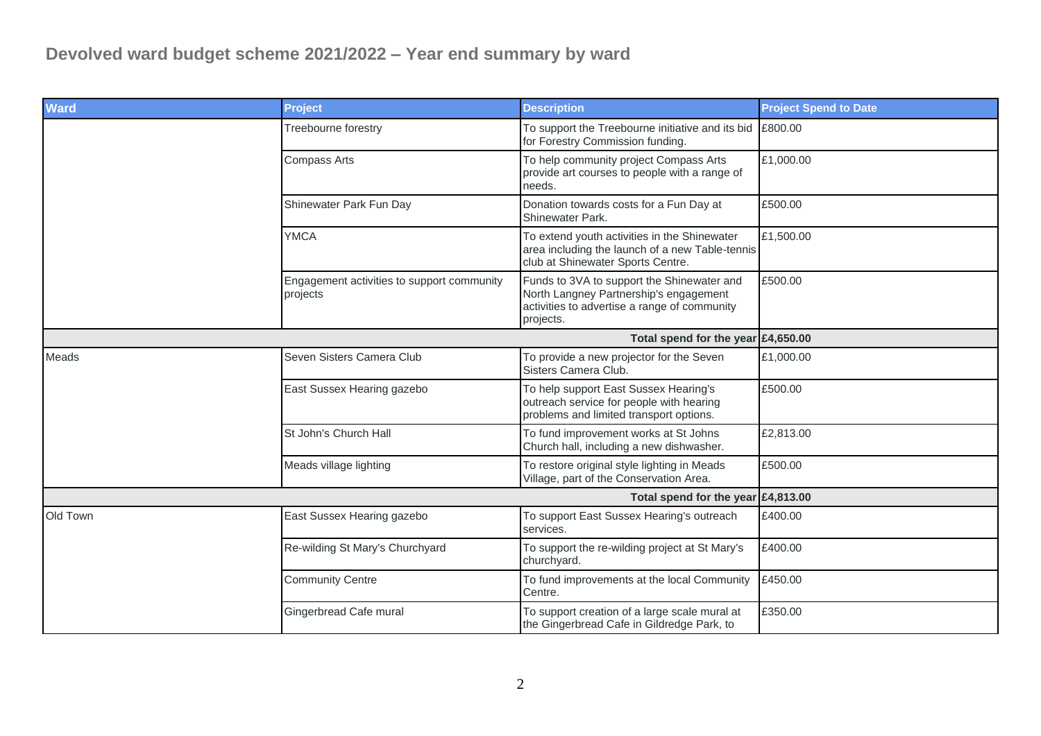| <b>Ward</b>                        | <b>Project</b>                                         | <b>Description</b>                                                                                                                                | <b>Project Spend to Date</b> |
|------------------------------------|--------------------------------------------------------|---------------------------------------------------------------------------------------------------------------------------------------------------|------------------------------|
|                                    | Treebourne forestry                                    | To support the Treebourne initiative and its bid<br>for Forestry Commission funding.                                                              | £800.00                      |
|                                    | <b>Compass Arts</b>                                    | To help community project Compass Arts<br>provide art courses to people with a range of<br>needs.                                                 | £1,000.00                    |
|                                    | Shinewater Park Fun Day                                | Donation towards costs for a Fun Day at<br>Shinewater Park.                                                                                       | £500.00                      |
|                                    | <b>YMCA</b>                                            | To extend youth activities in the Shinewater<br>area including the launch of a new Table-tennis<br>club at Shinewater Sports Centre.              | £1,500.00                    |
|                                    | Engagement activities to support community<br>projects | Funds to 3VA to support the Shinewater and<br>North Langney Partnership's engagement<br>activities to advertise a range of community<br>projects. | £500.00                      |
| Total spend for the year £4,650.00 |                                                        |                                                                                                                                                   |                              |
| Meads                              | Seven Sisters Camera Club                              | To provide a new projector for the Seven<br>Sisters Camera Club.                                                                                  | £1,000.00                    |
|                                    | East Sussex Hearing gazebo                             | To help support East Sussex Hearing's<br>outreach service for people with hearing<br>problems and limited transport options.                      | £500.00                      |
|                                    | St John's Church Hall                                  | To fund improvement works at St Johns<br>Church hall, including a new dishwasher.                                                                 | £2,813.00                    |
|                                    | Meads village lighting                                 | To restore original style lighting in Meads<br>Village, part of the Conservation Area.                                                            | £500.00                      |
| Total spend for the year £4,813.00 |                                                        |                                                                                                                                                   |                              |
| Old Town                           | East Sussex Hearing gazebo                             | To support East Sussex Hearing's outreach<br>services.                                                                                            | £400.00                      |
|                                    | Re-wilding St Mary's Churchyard                        | To support the re-wilding project at St Mary's<br>churchyard.                                                                                     | £400.00                      |
|                                    | <b>Community Centre</b>                                | To fund improvements at the local Community<br>Centre.                                                                                            | £450.00                      |
|                                    | Gingerbread Cafe mural                                 | To support creation of a large scale mural at<br>the Gingerbread Cafe in Gildredge Park, to                                                       | £350.00                      |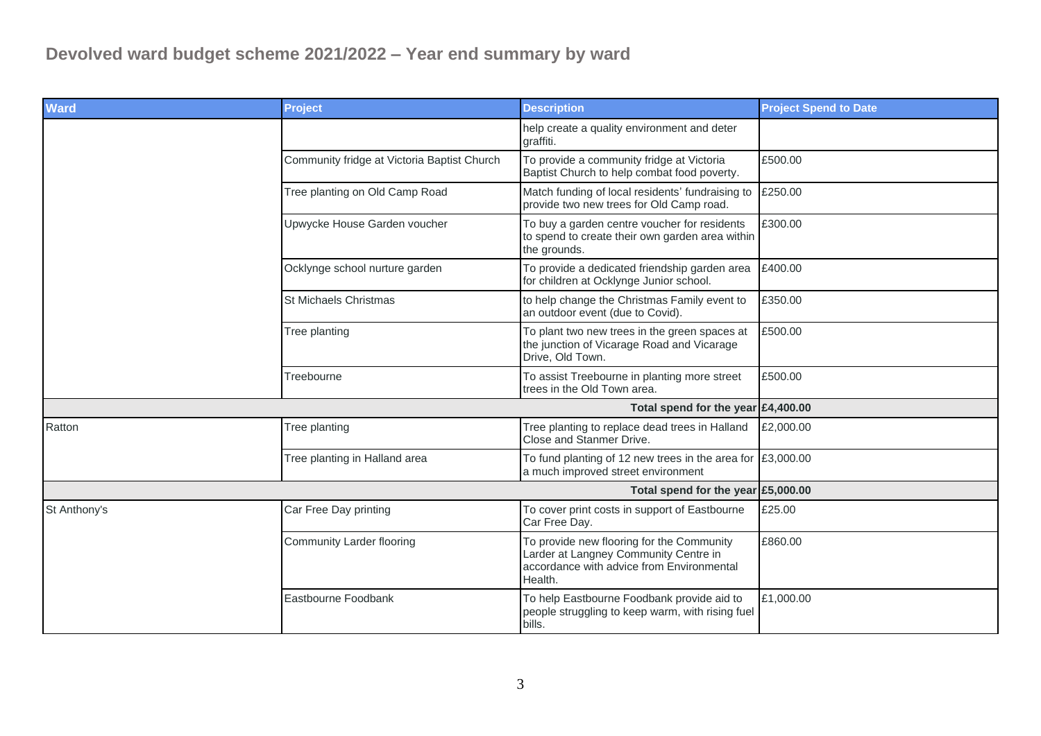| <b>Ward</b>                          | <b>Project</b>                              | <b>Description</b>                                                                                                                         | <b>Project Spend to Date</b> |
|--------------------------------------|---------------------------------------------|--------------------------------------------------------------------------------------------------------------------------------------------|------------------------------|
|                                      |                                             | help create a quality environment and deter<br>graffiti.                                                                                   |                              |
|                                      | Community fridge at Victoria Baptist Church | To provide a community fridge at Victoria<br>Baptist Church to help combat food poverty.                                                   | £500.00                      |
|                                      | Tree planting on Old Camp Road              | Match funding of local residents' fundraising to<br>provide two new trees for Old Camp road.                                               | £250.00                      |
|                                      | Upwycke House Garden voucher                | To buy a garden centre voucher for residents<br>to spend to create their own garden area within<br>the grounds.                            | £300.00                      |
|                                      | Ocklynge school nurture garden              | To provide a dedicated friendship garden area<br>for children at Ocklynge Junior school.                                                   | £400.00                      |
|                                      | <b>St Michaels Christmas</b>                | to help change the Christmas Family event to<br>an outdoor event (due to Covid).                                                           | £350.00                      |
|                                      | Tree planting                               | To plant two new trees in the green spaces at<br>the junction of Vicarage Road and Vicarage<br>Drive, Old Town.                            | £500.00                      |
|                                      | Treebourne                                  | To assist Treebourne in planting more street<br>trees in the Old Town area.                                                                | £500.00                      |
| Total spend for the year $£4,400.00$ |                                             |                                                                                                                                            |                              |
| Ratton                               | Tree planting                               | Tree planting to replace dead trees in Halland<br>Close and Stanmer Drive.                                                                 | £2,000.00                    |
|                                      | Tree planting in Halland area               | To fund planting of 12 new trees in the area for $\sqrt{23,000.00}$<br>a much improved street environment                                  |                              |
|                                      |                                             | Total spend for the year £5,000.00                                                                                                         |                              |
| St Anthony's                         | Car Free Day printing                       | To cover print costs in support of Eastbourne<br>Car Free Day.                                                                             | £25.00                       |
|                                      | Community Larder flooring                   | To provide new flooring for the Community<br>Larder at Langney Community Centre in<br>accordance with advice from Environmental<br>Health. | £860.00                      |
|                                      | Eastbourne Foodbank                         | To help Eastbourne Foodbank provide aid to<br>people struggling to keep warm, with rising fuel<br>bills.                                   | £1,000.00                    |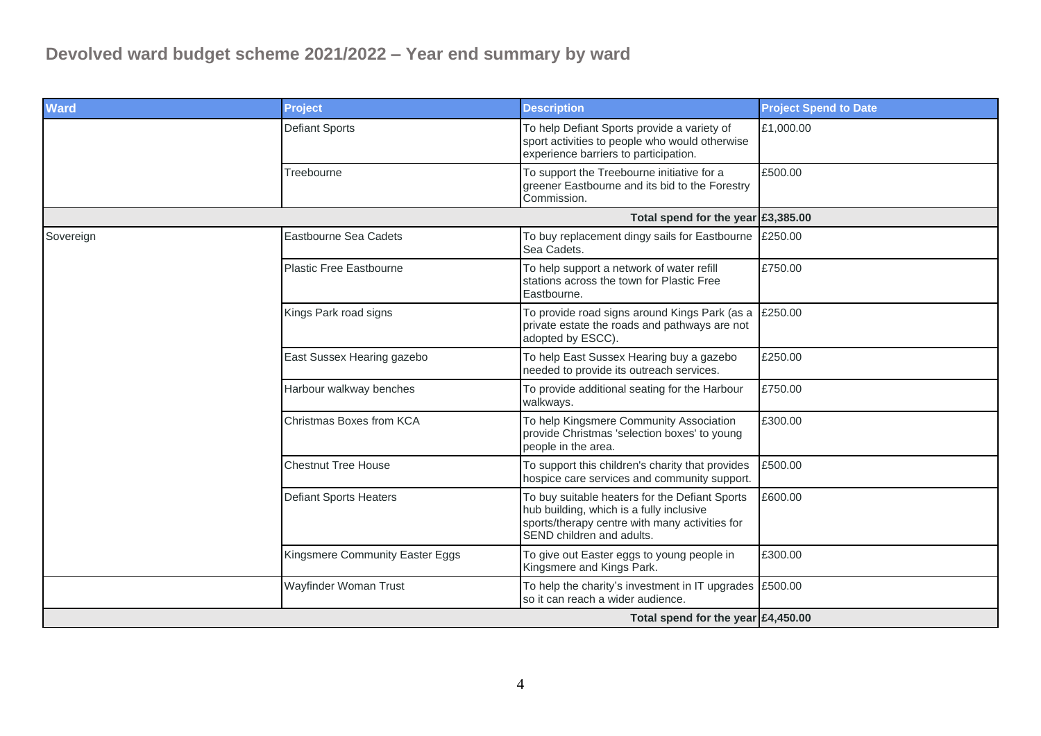| <b>Ward</b> | <b>Project</b>                  | <b>Description</b>                                                                                                                                                        | <b>Project Spend to Date</b> |
|-------------|---------------------------------|---------------------------------------------------------------------------------------------------------------------------------------------------------------------------|------------------------------|
|             | <b>Defiant Sports</b>           | To help Defiant Sports provide a variety of<br>sport activities to people who would otherwise<br>experience barriers to participation.                                    | £1,000.00                    |
|             | Treebourne                      | To support the Treebourne initiative for a<br>greener Eastbourne and its bid to the Forestry<br>Commission.                                                               | £500.00                      |
|             |                                 | Total spend for the year £3,385.00                                                                                                                                        |                              |
| Sovereign   | <b>Eastbourne Sea Cadets</b>    | To buy replacement dingy sails for Eastbourne £250.00<br>Sea Cadets.                                                                                                      |                              |
|             | <b>Plastic Free Eastbourne</b>  | To help support a network of water refill<br>stations across the town for Plastic Free<br>Eastbourne.                                                                     | £750.00                      |
|             | Kings Park road signs           | To provide road signs around Kings Park (as a<br>private estate the roads and pathways are not<br>adopted by ESCC).                                                       | £250.00                      |
|             | East Sussex Hearing gazebo      | To help East Sussex Hearing buy a gazebo<br>needed to provide its outreach services.                                                                                      | £250.00                      |
|             | Harbour walkway benches         | To provide additional seating for the Harbour<br>walkways.                                                                                                                | £750.00                      |
|             | Christmas Boxes from KCA        | To help Kingsmere Community Association<br>provide Christmas 'selection boxes' to young<br>people in the area.                                                            | £300.00                      |
|             | <b>Chestnut Tree House</b>      | To support this children's charity that provides<br>hospice care services and community support.                                                                          | £500.00                      |
|             | <b>Defiant Sports Heaters</b>   | To buy suitable heaters for the Defiant Sports<br>hub building, which is a fully inclusive<br>sports/therapy centre with many activities for<br>SEND children and adults. | £600.00                      |
|             | Kingsmere Community Easter Eggs | To give out Easter eggs to young people in<br>Kingsmere and Kings Park.                                                                                                   | £300.00                      |
|             | Wayfinder Woman Trust           | To help the charity's investment in IT upgrades $\left  \right. \text{\textsterling}500.00$<br>so it can reach a wider audience.                                          |                              |
|             |                                 | Total spend for the year $£4,450.00$                                                                                                                                      |                              |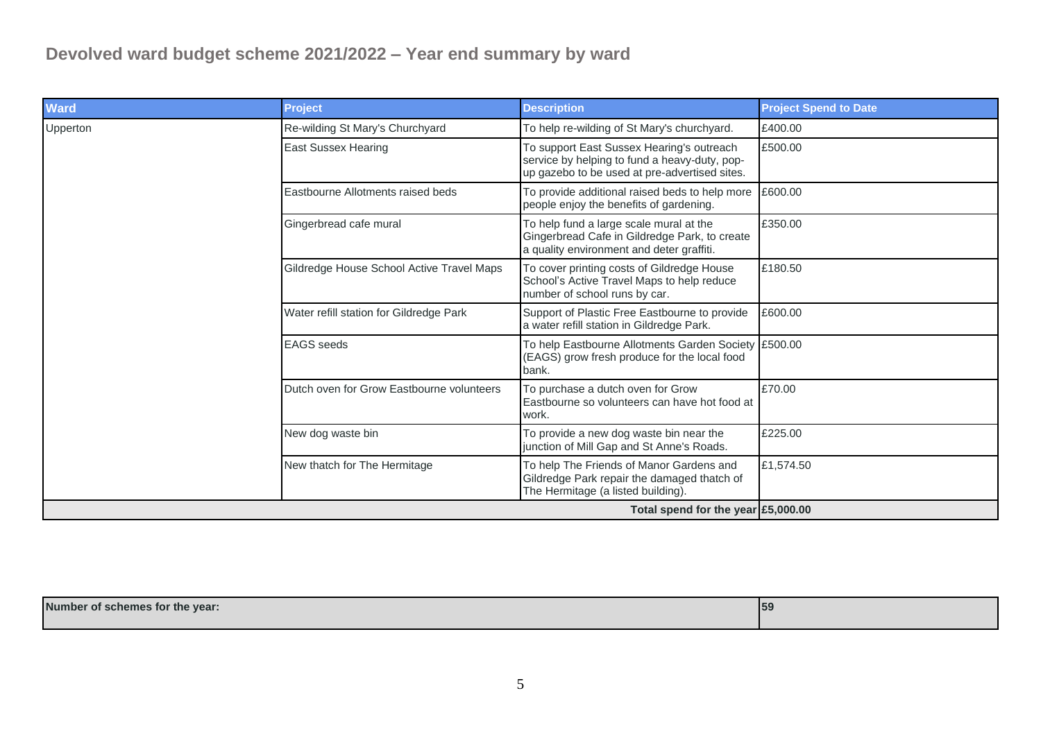| <b>Ward</b> | <b>Project</b>                            | <b>Description</b>                                                                                                                          | <b>Project Spend to Date</b> |
|-------------|-------------------------------------------|---------------------------------------------------------------------------------------------------------------------------------------------|------------------------------|
| Upperton    | Re-wilding St Mary's Churchyard           | To help re-wilding of St Mary's churchyard.                                                                                                 | £400.00                      |
|             | <b>East Sussex Hearing</b>                | To support East Sussex Hearing's outreach<br>service by helping to fund a heavy-duty, pop-<br>up gazebo to be used at pre-advertised sites. | £500.00                      |
|             | Eastbourne Allotments raised beds         | To provide additional raised beds to help more<br>people enjoy the benefits of gardening.                                                   | £600.00                      |
|             | Gingerbread cafe mural                    | To help fund a large scale mural at the<br>Gingerbread Cafe in Gildredge Park, to create<br>a quality environment and deter graffiti.       | £350.00                      |
|             | Gildredge House School Active Travel Maps | To cover printing costs of Gildredge House<br>School's Active Travel Maps to help reduce<br>number of school runs by car.                   | £180.50                      |
|             | Water refill station for Gildredge Park   | Support of Plastic Free Eastbourne to provide<br>a water refill station in Gildredge Park.                                                  | £600.00                      |
|             | <b>EAGS</b> seeds                         | To help Eastbourne Allotments Garden Society £500.00<br>(EAGS) grow fresh produce for the local food<br>bank.                               |                              |
|             | Dutch oven for Grow Eastbourne volunteers | To purchase a dutch oven for Grow<br>Eastbourne so volunteers can have hot food at<br>work.                                                 | £70.00                       |
|             | New dog waste bin                         | To provide a new dog waste bin near the<br>junction of Mill Gap and St Anne's Roads.                                                        | £225.00                      |
|             | New thatch for The Hermitage              | To help The Friends of Manor Gardens and<br>Gildredge Park repair the damaged thatch of<br>The Hermitage (a listed building).               | £1,574.50                    |
|             |                                           | Total spend for the year $\mathsf{E}5,000.00$                                                                                               |                              |

| Number of schemes for the year: | 159 |
|---------------------------------|-----|
|                                 |     |